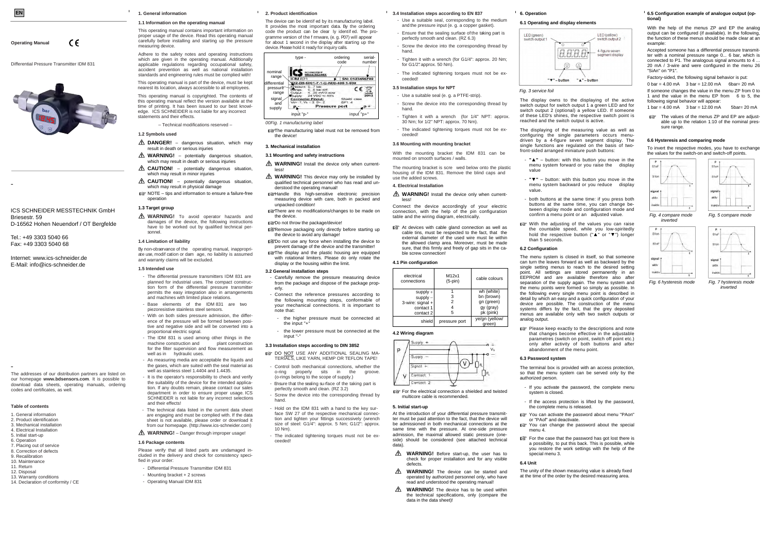ICS SCHNEIDER MESSTECHNIK GmbH Briesestr. 59D-16562 Hohen Neuendorf / OT Bergfelde

Tel.: +49 3303 5040 66

Fax: +49 3303 5040 68

## Internet: www.ics-schneider.de E-Mail: info@ics-schneider.de

**Operating Manual** 

Differential Pressure Transmitter IDM 831

 $\epsilon$ 



The addresses of our distribution partners are listed on our homepage **www.bdsensors.com**. It is possible to download data sheets, operating manuals, ordering codes and certificates, as well.

This operating manual contains important information on proper usage of the device. Read this operating manual carefully before installing and starting up the pressure measuring device. Adhere to the safety notes and operating instructions which are given in the operating manual. Additionally

#### **Table of contents**

- 1. General information
- 2. Product identification
- 3. Mechanical installation4. Electrical Installation
- 5. Initial start-up
- 6. Operation
- 7. Placing out of service
- 8. Correction of defects
- 9. Recalibration
- 10. Maintenance
- 11. Return
- 12. Disposal
- 13. Warranty conditions
- 14. Declaration of conformity / CE

#### **1. General information**

#### **1.1 Information on the operating manual**

applicable regulations regarding occupational safety,

accident prevention as well as national installation standards and engineering rules must be complied with! This operating manual is part of the device, must be kept nearest its location, always accessible to all employees.

This operating manual is copyrighted. The contents of this operating manual reflect the version available at the time of printing. It has been issued to our best knowledge. ICS SCHNEIDER is not liable for any incorrect statements and their effects.

– Technical modifications reserved –

## **1.2 Symbols used**

- **DANGER!** dangerous situation, which may result in death or serious injuries
- **WARNING!** potentially dangerous situation, which may result in death or serious injuries
- **CAUTION!** potentially dangerous situation, which may result in minor injuries
- **CAUTION!** potentially dangerous situation, which may result in physical damage
- NOTE tips and information to ensure a failure-free operation

# **1.3 Target group**

**WARNING!** To avoid operator hazards and damages of the device, the following instructions have to be worked out by qualified technical personnel.

The device can be identi-ed by its manufacturing label. It provides the most important data. By the ordering code the product can be clear Iv identi ed. The programme version of the rmware, (e. g. P07) will appear for about 1 second in the display after starting up the device. Please hold it ready for inquiry calls.

**ISThe manufacturing label must not be removed from** the device!

### **1.4 Limitation of liability**

By non-observance of the operating manual, inappropriate use, modication or dam age, no liability is assumed and warranty claims will be excluded.

#### **1.5 Intended use**

- **WARNING!** Install the device only when currentless!
- **WARNING!** This device may only be installed by qualified technical personnel who has read and understood the operating manual!
- Handle this high-sensitive electronic precision measuring device with care, both in packed and unpacked condition!
- **To There are no modifications/changes to be made on** the device.
- Do not throw the package/device!
- **Remove packaging only directly before starting up** the device to avoid any damage
- De not use any force when installing the device to prevent damage of the device and the transmitter!
- **The display and the plastic housing are equipped** with rotational limiters. Please do only rotate the display or the housing within the limit.

- The differential pressure transmitters IDM 831 are planned for industrial uses. The compact construction form of the differential pressure transmitter permits the easy integration also in arrangements and machines with limited place relations.
- Base elements of the IDM 831 are two piezoresistive stainless steel sensors.
- With on both sides pressure admission, the difference of the pressure will be formed between positive and negative side and will be converted into a proportional electric signal.
- The IDM 831 is used among other things in the machine construction and plant construction for the filter supervision and flow measurement as well as in hydraulic uses.
- As measuring media are acceptable the liquids and the gases, which are suited with the seal material as well as stainless steel 1.4404 and 1.4435
- It is the operator's responsibility to check and verify the suitability of the device for the intended application. If any doubts remain, please contact our sales department in order to ensure proper usage. ICS SCHNEIDER is not liable for any incorrect selections and their effects!
- The technical data listed in the current data sheet are engaging and must be complied with. If the data sheet is not available, please order or download it from our homepage. (http://www.ics-schneider.com)
- **DO NOT USE ANY ADDITIONAL SEALING MA-**TERIALS, LIKE YARN, HEMP OR TEFLON TAPE!
- Control both mechanical connections, whether the o-ring properly sits in the groove. (o-rings belong to the scope of supply.)
- Ensure that the sealing su rface of the taking part is perfectly smooth and clean. (RZ 3.2)
- Screw the device into the corresponding thread by hand.
- Hold on the IDM 831 with a hand to the key surface SW 27 of the respective mechanical connection and tighten your fittings successively (wrench size of steel: G1/4": approx. 5 Nm; G1/2": approx. 10 Nm).
- The indicated tightening torques must not be exceeded!

**WARNING!** Install the device only when currentless!

**WARNING!** – Danger through improper usage!

#### **1.6 Package contents**

Please verify that all listed parts are undamaged included in the delivery and check for consistency specified in your order:

**IGF** At devices with cable gland connection as well as cable tins, must be respected to the fact, that the external diameter of the used wire must lie within the allowed clamp area. Moreover, must be made sure, that this firmly and freely of gap sits in the cable screw connection!

- Differential Pressure Transmitter IDM 831
- $-$  Mounting bracket  $+$  2 screws
- Operating Manual IDM 831

# **2. Product identification**

#### *00Fig. 1 manufacturing label*

#### **3. Mechanical installation**

#### **3.1 Mounting and safety instructions**

With the adjusting of the values you can raise the countable speed, while you low-spiritedly hold the respective button (" ▲" or " ▼") longer

### **3.2 General installation steps**

**图 Please keep exactly to the descriptions and note** that changes become effective in the adjustable parametres (switch on point, switch off point etc.) only after activity of both buttons and after abandonment of the menu point.

- Carefully remove the pressure measuring device from the package and dispose of the package properly.
- Connect the reference pressures according to the following mounting steps, conformable of your mechanical connections. It is important to note that:
- the higher pressure must be connected at the input "+"
- the lower pressure must be connected at the input "-"

#### **3.3 Installation steps according to DIN 3852**

**For the case that the password has got lost there is** a possibility, to put this back. This is possible, while you restore the work settings with the help of the With the help of the menus ZP and EP the analog output can be configured (if available). In the following, the function of these menus should be made clear at an example:

#### **3.4 Installation steps according to EN 837**

- Use a suitable seal, corresponding to the medium and the pressure input (e. g. a copper gasket).
- Ensure that the sealing surface of the taking part is perfectly smooth and clean. (RZ 6.3)
- Screw the device into the corresponding thread by hand.
- Tighten it with a wrench (for G1/4": approx. 20 Nm; for  $G1/2$ " approx.  $50$  Nm).
- The indicated tightening torques must not be exceeded!

# **3.5 Installation steps for NPT**

- Use a suitable seal (e. g. a PTFE-strip).
- Screw the device into the corresponding thread by hand.
- Tighten it with a wrench (for 1/4" NPT: approx. 30 Nm; for 1/2" NPT: approx. 70 Nm).
- The indicated tightening torques must not be exceeded!

### **3.6 Mounting with mounting bracket**

With the mounting bracket the IDM 831 can be mounted on smooth surfaces / walls.

The mounting bracket is scre wed below onto the plastic housing of the IDM 831. Remove the blind caps and use the added screws.

# **4. Electrical Installation**

Connect the device accordingly of your electric connection, with the help of the pin configuration table and the wiring diagram, electrically.

### **4.1 Pin configuration**

| electrical<br>connections                                              | M12x1<br>$(5-pin)$ | cable colours                                                    |
|------------------------------------------------------------------------|--------------------|------------------------------------------------------------------|
| $supply +$<br>$supply -$<br>3-wire: signal +<br>contact 1<br>contact 2 | 3<br>2<br>5        | wh (white)<br>bn (brown)<br>gn (green)<br>gy (gray)<br>pk (pink) |
| shield                                                                 | pressure port      | ye/gn (yellow/<br>green)                                         |

**『图 For the electrical connection a shielded and twisted** 

 $\mathcal{L}$ 

**4.2 Wiring diagram** 

upply

 $Signal +$ Contract Contact

multicore cable is recommended.

**5. Initial start-up** 

At the introduction of your differential pressure transmitter must be paid attention to the fact, that the device will be admissioned in both mechanical connections at the same time with the pressure. At one-side pressure admission, the maximal allowed static pressure (oneside) should be considered (see attached technical

data).

**WARNING!** Before start-up, the user has to check for proper installation and for any visible

defects.

**WARNING!** The device can be started and operated by authorized personnel only, who have read and understood the operating manual! **WARNING!** The device has to be used within the technical specifications, only (compare the

data in the data sheet)!

**6. Operation** 

LED (green)  $\frac{1}{2}$  output

**6.1 Operating and display elements** 

*Fig. 3 service foil* 

"T" hutton

The display owns to the displaying of the active switch output for switch output 1 a green LED and for switch output 2 (optional) a yellow LED. If someone of these LED's shines, the respective switch point is reached and the switch output is active.

The displaying of the measuring value as well as configuring the single parameters occurs menudriven by a 4-figure seven segment display. The single functions are regulated on the basis of twofront-sided arranged miniature push buttons:

- **"▲"** – button: with this button you move in the menu system forward or you raise the display

value

- **"▼"** – button: with this button you move in the menu system backward or you reduce display

value.

- both buttons at the same time: if you press both buttons at the same time, you can change between display mode and configuration mode and confirm a menu point or an adjusted value.

than 5 seconds. **6.2 Configuration** 



The menu system is closed in itself, so that someone can turn the leaves forward as well as backward by the single setting menus to reach to the desired setting point. All settings are stored permanently in an EEPROM and are available therefore also after separation of the supply again. The menu system and the menu points were formed so simply as possible. In the following every single menu point is described in detail by which an easy and a quick configuration of your device are possible. The construction of the menu systems differs by the fact, that the grey deposited menus are available only with two switch outputs or

analog output.

 $V_{\rm S}$ 

**6.3 Password system** 

The terminal box is provided with an access protection, so that the menu system can be served only by the

authorized person.

- If you activate the password, the complete menu

system is closed.

- If the access protection is lifted by the password, the complete menu is released.

You can activate the password about menu "PAon"

or "PAof" and deactivate.

You can change the password about the special

menu 4.

special menu 3.

**6.4 Unit** 

The unity of the shown measuring value is already fixed at the time of the order by the desired measuring area.

### **6.5 Configuration example of analogue output (optional)**

Accepted someone has a differential pressure transmitter with a nominal pressure range  $0$ . 6 bar, which is connected to P1. The analogous signal amounts to 4 ... 20 mA / 3-wire and were configured in the menu 26 "SiAn" on "P1".

Factory-sided, the following signal behavior is put:

0 bar = 4.00 mA 3 bar = 12.00 mA 6bar= 20 mA If someone changes the value in the menu ZP from 0 to 1 and the value in the menu EP from 6 to 5, the following signal behavior will appear:

1 bar = 4.00 mA 3 bar = 12.00 mA 5bar= 20 mA

The values of the menus ZP and EP are adjustable up to the relation 1:10 of the nominal pressure range.

# **6.6 Hysteresis and comparing mode**

To invert the respective modes, you have to exchange the values for the switch-on and switch-off points.







*Fig. 6 hysteresis mode Fig. 7 hysteresis mode inverted*